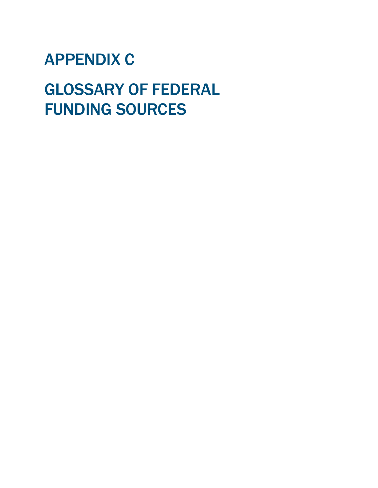# APPENDIX C

# GLOSSARY OF FEDERAL FUNDING SOURCES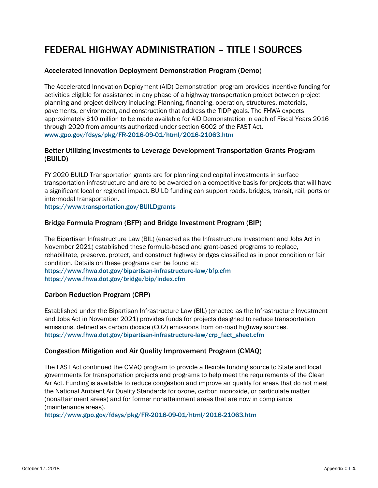# FEDERAL HIGHWAY ADMINISTRATION – TITLE I SOURCES

# Accelerated Innovation Deployment Demonstration Program (Demo)

The Accelerated Innovation Deployment (AID) Demonstration program provides incentive funding for activities eligible for assistance in any phase of a highway transportation project between project planning and project delivery including: Planning, financing, operation, structures, materials, pavements, environment, and construction that address the TIDP goals. The FHWA expects approximately \$10 million to be made available for AID Demonstration in each of Fiscal Years 2016 through 2020 from amounts authorized under section 6002 of the FAST Act. [www.gpo.gov/fdsys/pkg/FR-2016-09-01/html/2016-21063.htm](file://mwcog.org/DFS/dtp/TIP/FY%202019-2024/TIP%20Document/Approved%20-%20October%2017%202018/Appendices/www.gpo.gov/fdsys/pkg/FR-2016-09-01/html/2016-21063.htm)

# Better Utilizing Investments to Leverage Development Transportation Grants Program (BUILD)

FY 2020 BUILD Transportation grants are for planning and capital investments in surface transportation infrastructure and are to be awarded on a competitive basis for projects that will have a significant local or regional impact. BUILD funding can support roads, bridges, transit, rail, ports or intermodal transportation.

https://www.transportation.gov/BUILDgrants

# Bridge Formula Program (BFP) and Bridge Investment Program (BIP)

The Bipartisan Infrastructure Law (BIL) (enacted as the Infrastructure Investment and Jobs Act in November 2021) established these formula-based and grant-based programs to replace, rehabilitate, preserve, protect, and construct highway bridges classified as in poor condition or fair condition. Details on these programs can be found at: <https://www.fhwa.dot.gov/bipartisan-infrastructure-law/bfp.cfm>

https://www.fhwa.dot.gov/bridge/bip/index.cfm

# Carbon Reduction Program (CRP)

Established under the Bipartisan Infrastructure Law (BIL) (enacted as the Infrastructure Investment and Jobs Act in November 2021) provides funds for projects designed to reduce transportation emissions, defined as carbon dioxide (CO2) emissions from on-road highway sources. https://www.fhwa.dot.gov/bipartisan-infrastructure-law/crp\_fact\_sheet.cfm

# Congestion Mitigation and Air Quality Improvement Program (CMAQ)

The FAST Act continued the CMAQ program to provide a flexible funding source to State and local governments for transportation projects and programs to help meet the requirements of the Clean Air Act. Funding is available to reduce congestion and improve air quality for areas that do not meet the National Ambient Air Quality Standards for ozone, carbon monoxide, or particulate matter (nonattainment areas) and for former nonattainment areas that are now in compliance (maintenance areas).

https://www.gpo.gov/fdsys/pkg/FR-2016-09-01/html/2016-21063.htm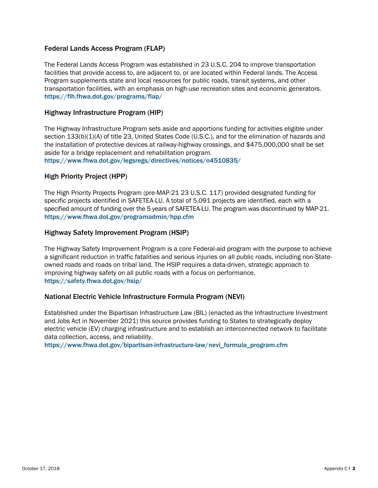# Federal Lands Access Program (FLAP)

The Federal Lands Access Program was established in 23 U.S.C. 204 to improve transportation facilities that provide access to, are adjacent to, or are located within Federal lands. The Access Program supplements state and local resources for public roads, transit systems, and other transportation facilities, with an emphasis on high-use recreation sites and economic generators. https://flh.fhwa.dot.gov/programs/flap/

#### Highway Infrastructure Program (HIP)

The Highway Infrastructure Program sets aside and apportions funding for activities eligible under section 133(b)(1)(A) of title 23, United States Code (U.S.C.), and for the elimination of hazards and the installation of protective devices at railway-highway crossings, and \$475,000,000 shall be set aside for a bridge replacement and rehabilitation program.

https://www.fhwa.dot.gov/legsregs/directives/notices/n4510835/

#### High Priority Project (HPP)

The High Priority Projects Program (pre-MAP-21 23 U.S.C. 117) provided designated funding for specific projects identified in SAFETEA-LU. A total of 5,091 projects are identified, each with a specified amount of funding over the 5 years of SAFETEA-LU. The program was discontinued by MAP-21. https://www.fhwa.dot.gov/programadmin/hpp.cfm

#### Highway Safety Improvement Program (HSIP)

The Highway Safety Improvement Program is a core Federal-aid program with the purpose to achieve a significant reduction in traffic fatalities and serious injuries on all public roads, including non-Stateowned roads and roads on tribal land. The HSIP requires a data-driven, strategic approach to improving highway safety on all public roads with a focus on performance. https://safety.fhwa.dot.gov/hsip/

#### National Electric Vehicle Infrastructure Formula Program (NEVI)

Established under the Bipartisan Infrastructure Law (BIL) (enacted as the Infrastructure Investment and Jobs Act in November 2021) this source provides funding to States to strategically deploy electric vehicle (EV) charging infrastructure and to establish an interconnected network to facilitate data collection, access, and reliability.

https://www.fhwa.dot.gov/bipartisan-infrastructure-law/nevi\_formula\_program.cfm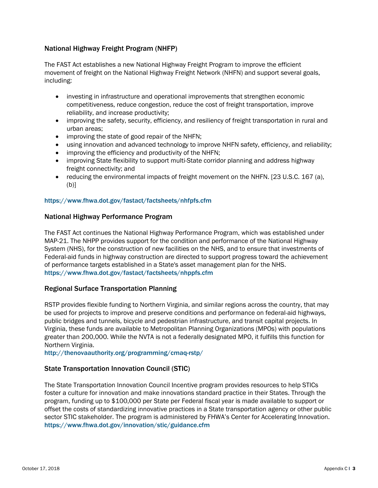# National Highway Freight Program (NHFP)

The FAST Act establishes a new National Highway Freight Program to improve the efficient movement of freight on the National Highway Freight Network (NHFN) and support several goals, including:

- investing in infrastructure and operational improvements that strengthen economic competitiveness, reduce congestion, reduce the cost of freight transportation, improve reliability, and increase productivity;
- improving the safety, security, efficiency, and resiliency of freight transportation in rural and urban areas;
- improving the state of good repair of the NHFN;
- using innovation and advanced technology to improve NHFN safety, efficiency, and reliability;
- improving the efficiency and productivity of the NHFN;
- improving State flexibility to support multi-State corridor planning and address highway freight connectivity; and
- reducing the environmental impacts of freight movement on the NHFN. [23 U.S.C. 167 (a),  $(b)$ ]

#### https://www.fhwa.dot.gov/fastact/factsheets/nhfpfs.cfm

#### National Highway Performance Program

The FAST Act continues the National Highway Performance Program, which was established under MAP-21. The NHPP provides support for the condition and performance of the National Highway System (NHS), for the construction of new facilities on the NHS, and to ensure that investments of Federal-aid funds in highway construction are directed to support progress toward the achievement of performance targets established in a State's asset management plan for the NHS. https://www.fhwa.dot.gov/fastact/factsheets/nhppfs.cfm

# Regional Surface Transportation Planning

RSTP provides flexible funding to Northern Virginia, and similar regions across the country, that may be used for projects to improve and preserve conditions and performance on federal-aid highways, public bridges and tunnels, bicycle and pedestrian infrastructure, and transit capital projects. In Virginia, these funds are available to Metropolitan Planning Organizations (MPOs) with populations greater than 200,000. While the NVTA is not a federally designated MPO, it fulfills this function for Northern Virginia.

http://thenovaauthority.org/programming/cmaq-rstp/

# State Transportation Innovation Council (STIC)

The State Transportation Innovation Council Incentive program provides resources to help STICs foster a culture for innovation and make innovations standard practice in their States. Through the program, funding up to \$100,000 per State per Federal fiscal year is made available to support or offset the costs of standardizing innovative practices in a State transportation agency or other public sector STIC stakeholder. The program is administered by FHWA's Center for Accelerating Innovation. https://www.fhwa.dot.gov/innovation/stic/guidance.cfm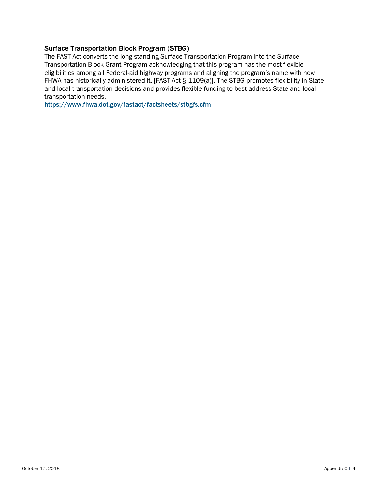# Surface Transportation Block Program (STBG)

The FAST Act converts the long-standing Surface Transportation Program into the Surface Transportation Block Grant Program acknowledging that this program has the most flexible eligibilities among all Federal-aid highway programs and aligning the program's name with how FHWA has historically administered it. [FAST Act § 1109(a)]. The STBG promotes flexibility in State and local transportation decisions and provides flexible funding to best address State and local transportation needs.

https://www.fhwa.dot.gov/fastact/factsheets/stbgfs.cfm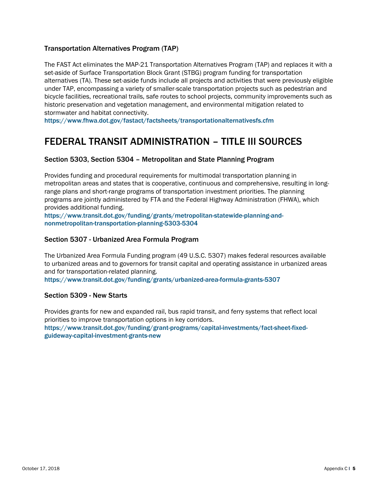# Transportation Alternatives Program (TAP)

The FAST Act eliminates the MAP-21 Transportation Alternatives Program (TAP) and replaces it with a set-aside of Surface Transportation Block Grant (STBG) program funding for transportation alternatives (TA). These set-aside funds include all projects and activities that were previously eligible under TAP, encompassing a variety of smaller-scale transportation projects such as pedestrian and bicycle facilities, recreational trails, safe routes to school projects, community improvements such as historic preservation and vegetation management, and environmental mitigation related to stormwater and habitat connectivity.

https://www.fhwa.dot.gov/fastact/factsheets/transportationalternativesfs.cfm

# FEDERAL TRANSIT ADMINISTRATION – TITLE III SOURCES

# Section 5303, Section 5304 – Metropolitan and State Planning Program

Provides funding and procedural requirements for multimodal transportation planning in metropolitan areas and states that is cooperative, continuous and comprehensive, resulting in longrange plans and short-range programs of transportation investment priorities. The planning programs are jointly administered by FTA and the Federal Highway Administration (FHWA), which provides additional funding.

https://www.transit.dot.gov/funding/grants/metropolitan-statewide-planning-andnonmetropolitan-transportation-planning-5303-5304

# Section 5307 - Urbanized Area Formula Program

The Urbanized Area Formula Funding program (49 U.S.C. 5307) makes federal resources available to urbanized areas and to governors for transit capital and operating assistance in urbanized areas and for transportation-related planning.

https://www.transit.dot.gov/funding/grants/urbanized-area-formula-grants-5307

#### Section 5309 - New Starts

Provides grants for new and expanded rail, bus rapid transit, and ferry systems that reflect local priorities to improve transportation options in key corridors. https://www.transit.dot.gov/funding/grant-programs/capital-investments/fact-sheet-fixedguideway-capital-investment-grants-new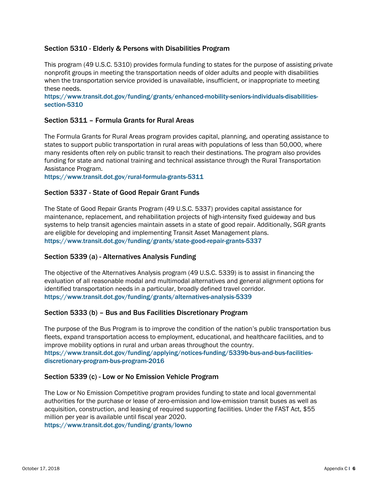## Section 5310 - Elderly & Persons with Disabilities Program

This program (49 U.S.C. 5310) provides formula funding to states for the purpose of assisting private nonprofit groups in meeting the transportation needs of older adults and people with disabilities when the transportation service provided is unavailable, insufficient, or inappropriate to meeting these needs.

https://www.transit.dot.gov/funding/grants/enhanced-mobility-seniors-individuals-disabilitiessection-5310

#### Section 5311 – Formula Grants for Rural Areas

The Formula Grants for Rural Areas program provides capital, planning, and operating assistance to states to support public transportation in rural areas with populations of less than 50,000, where many residents often rely on public transit to reach their destinations. The program also provides funding for state and national training and technical assistance through the Rural Transportation Assistance Program.

https://www.transit.dot.gov/rural-formula-grants-5311

#### Section 5337 - State of Good Repair Grant Funds

The State of Good Repair Grants Program (49 U.S.C. 5337) provides capital assistance for maintenance, replacement, and rehabilitation projects of high-intensity fixed guideway and bus systems to help transit agencies maintain assets in a state of good repair. Additionally, SGR grants are eligible for developing and implementing Transit Asset Management plans. https://www.transit.dot.gov/funding/grants/state-good-repair-grants-5337

#### Section 5339 (a) - Alternatives Analysis Funding

The objective of the Alternatives Analysis program (49 U.S.C. 5339) is to assist in financing the evaluation of all reasonable modal and multimodal alternatives and general alignment options for identified transportation needs in a particular, broadly defined travel corridor. https://www.transit.dot.gov/funding/grants/alternatives-analysis-5339

#### Section 5333 (b) – Bus and Bus Facilities Discretionary Program

The purpose of the Bus Program is to improve the condition of the nation's public transportation bus fleets, expand transportation access to employment, educational, and healthcare facilities, and to improve mobility options in rural and urban areas throughout the country. https://www.transit.dot.gov/funding/applying/notices-funding/5339b-bus-and-bus-facilitiesdiscretionary-program-bus-program-2016

#### Section 5339 (c) - Low or No Emission Vehicle Program

The Low or No Emission Competitive program provides funding to state and local governmental authorities for the purchase or lease of zero-emission and low-emission transit buses as well as acquisition, construction, and leasing of required supporting facilities. Under the FAST Act, \$55 million per year is available until fiscal year 2020.

https://www.transit.dot.gov/funding/grants/lowno